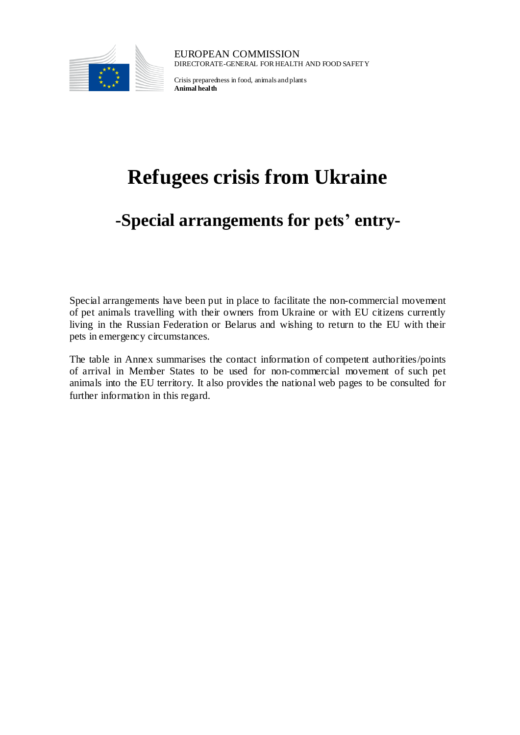

EUROPEAN COMMISSION DIRECTORATE-GENERAL FOR HEALTH AND FOOD SAFETY

Crisis preparedness in food, animals and plants **Animal health**

## **Refugees crisis from Ukraine**

## **-Special arrangements for pets' entry-**

Special arrangements have been put in place to facilitate the non-commercial movement of pet animals travelling with their owners from Ukraine or with EU citizens currently living in the Russian Federation or Belarus and wishing to return to the EU with their pets in emergency circumstances.

The table in Annex summarises the contact information of competent authorities/points of arrival in Member States to be used for non-commercial movement of such pet animals into the EU territory. It also provides the national web pages to be consulted for further information in this regard.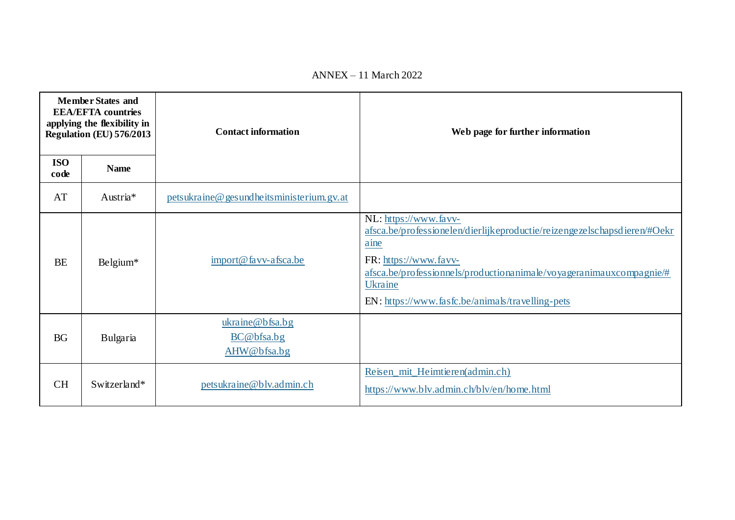| <b>Member States and</b><br><b>EEA/EFTA</b> countries<br>applying the flexibility in<br>Regulation (EU) 576/2013 |              | <b>Contact information</b>                   | Web page for further information                                                                                                                                                                                                                                         |
|------------------------------------------------------------------------------------------------------------------|--------------|----------------------------------------------|--------------------------------------------------------------------------------------------------------------------------------------------------------------------------------------------------------------------------------------------------------------------------|
| <b>ISO</b><br>code                                                                                               | <b>Name</b>  |                                              |                                                                                                                                                                                                                                                                          |
| AT                                                                                                               | Austria*     | petsukraine@gesundheitsministerium.gv.at     |                                                                                                                                                                                                                                                                          |
| <b>BE</b>                                                                                                        | Belgium*     | import@favv-afsca.be                         | NL: https://www.favv-<br>afsca.be/professionelen/dierlijkeproductie/reizengezelschapsdieren/#Oekr<br>aine<br>FR: https://www.favv-<br>afsca.be/professionnels/productionanimale/voyageranimauxcompagnie/#<br>Ukraine<br>EN: https://www.fasfc.be/animals/travelling-pets |
| <b>BG</b>                                                                                                        | Bulgaria     | ukraine@bfsa.bg<br>BC@bfsa.bg<br>AHW@bfsa.bg |                                                                                                                                                                                                                                                                          |
| <b>CH</b>                                                                                                        | Switzerland* | petsukraine@blv.admin.ch                     | Reisen_mit_Heimtieren(admin.ch)<br>https://www.blv.admin.ch/blv/en/home.html                                                                                                                                                                                             |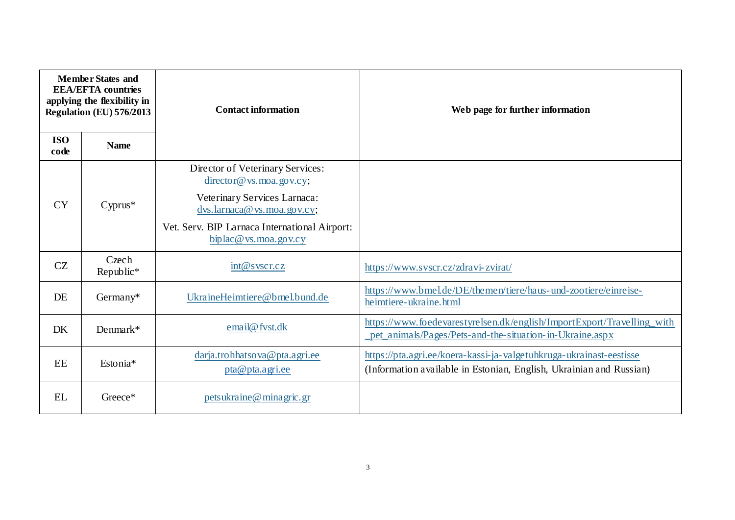| <b>Member States and</b><br><b>EEA/EFTA</b> countries<br>applying the flexibility in<br>Regulation (EU) 576/2013 |                    | <b>Contact information</b>                                                                                                                                                                                                          | Web page for further information                                                                                                           |
|------------------------------------------------------------------------------------------------------------------|--------------------|-------------------------------------------------------------------------------------------------------------------------------------------------------------------------------------------------------------------------------------|--------------------------------------------------------------------------------------------------------------------------------------------|
| <b>ISO</b><br>code                                                                                               | <b>Name</b>        |                                                                                                                                                                                                                                     |                                                                                                                                            |
| <b>CY</b>                                                                                                        | $Cyprus*$          | Director of Veterinary Services:<br>$\frac{\text{directory@ vs. } \text{moa.gov.csv}}{$<br>Veterinary Services Larnaca:<br>dvs.larnaca@vs.moa.gov.cy;<br>Vet. Serv. BIP Larnaca International Airport:<br>$biplace$ ws. moa. gov.cy |                                                                                                                                            |
| CZ                                                                                                               | Czech<br>Republic* | int@syscr.cz                                                                                                                                                                                                                        | https://www.svscr.cz/zdravi-zvirat/                                                                                                        |
| DE                                                                                                               | Germany*           | UkraineHeimtiere@bmel.bund.de                                                                                                                                                                                                       | https://www.bmel.de/DE/themen/tiere/haus- und-zootiere/einreise-<br>heimtiere-ukraine.html                                                 |
| DK                                                                                                               | Denmark*           | email@fvst.dk                                                                                                                                                                                                                       | https://www.foedevarestyrelsen.dk/english/ImportExport/Travelling_with<br>pet_animals/Pages/Pets-and-the-situation-in-Ukraine.aspx         |
| EE                                                                                                               | Estonia*           | darja.trohhatsova@pta.agri.ee<br>pta@pta.agri.ee                                                                                                                                                                                    | https://pta.agri.ee/koera-kassi-ja-valgetuhkruga-ukrainast-eestisse<br>(Information available in Estonian, English, Ukrainian and Russian) |
| <b>EL</b>                                                                                                        | Greece*            | petsukraine@minagric.gr                                                                                                                                                                                                             |                                                                                                                                            |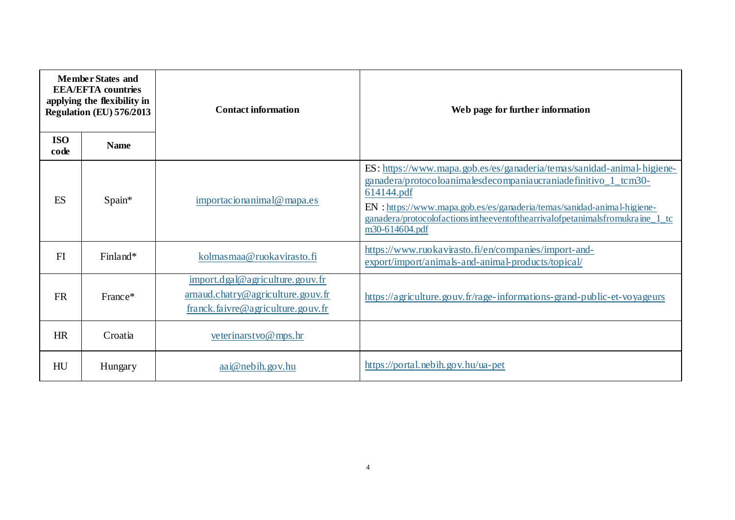| <b>Member States and</b><br><b>EEA/EFTA</b> countries<br>applying the flexibility in<br>Regulation (EU) 576/2013 |             | <b>Contact information</b>                                                                                | Web page for further information                                                                                                                                                                                                                                                                                                    |
|------------------------------------------------------------------------------------------------------------------|-------------|-----------------------------------------------------------------------------------------------------------|-------------------------------------------------------------------------------------------------------------------------------------------------------------------------------------------------------------------------------------------------------------------------------------------------------------------------------------|
| <b>ISO</b><br>code                                                                                               | <b>Name</b> |                                                                                                           |                                                                                                                                                                                                                                                                                                                                     |
| ES                                                                                                               | Spain*      | importacionanimal@mapa.es                                                                                 | ES: https://www.mapa.gob.es/es/ganaderia/temas/sanidad-animal-higiene-<br>ganadera/protocoloanimalesdecompaniaucraniadefinitivo_1_tcm30-<br>614144.pdf<br>EN : https://www.mapa.gob.es/es/ganaderia/temas/sanidad-animal-higiene-<br>ganadera/protocolofactionsintheeventofthearrivalofpetanimalsfromukraine_1_tc<br>m30-614604.pdf |
| FI                                                                                                               | Finland*    | kolmasmaa@ruokavirasto.fi                                                                                 | https://www.ruokavirasto.fi/en/companies/import-and-<br>export/import/animals-and-animal-products/topical/                                                                                                                                                                                                                          |
| <b>FR</b>                                                                                                        | France*     | import.dgal@agriculture.gouv.fr<br>arnaud.chatry@agriculture.gouv.fr<br>franck.faivre@agriculture.gouv.fr | https://agriculture.gouv.fr/rage-informations-grand-public-et-voyageurs                                                                                                                                                                                                                                                             |
| HR                                                                                                               | Croatia     | veterinarstvo $@$ mps.hr                                                                                  |                                                                                                                                                                                                                                                                                                                                     |
| HU                                                                                                               | Hungary     | $aa$ i@ nebih.gov.hu                                                                                      | https://portal.nebih.gov.hu/ua-pet                                                                                                                                                                                                                                                                                                  |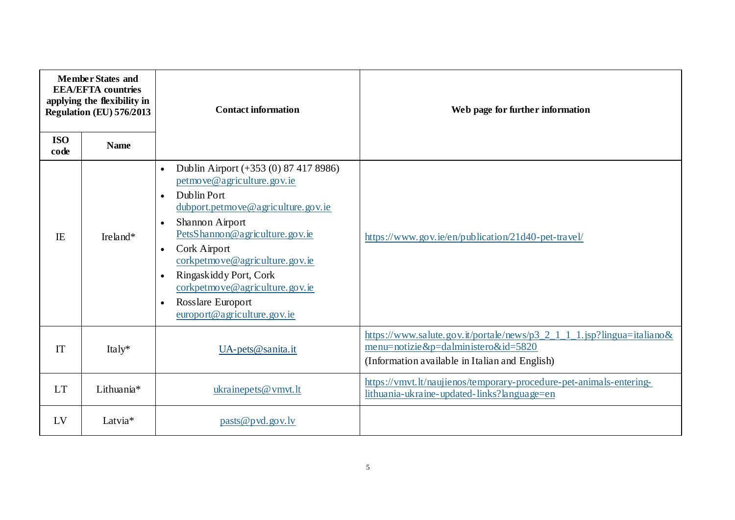| <b>Member States and</b><br><b>EEA/EFTA</b> countries<br>applying the flexibility in<br>Regulation (EU) 576/2013 |             | <b>Contact information</b>                                                                                                                                                                                                                                                                                                                                                                                                    | Web page for further information                                                                                                                                |
|------------------------------------------------------------------------------------------------------------------|-------------|-------------------------------------------------------------------------------------------------------------------------------------------------------------------------------------------------------------------------------------------------------------------------------------------------------------------------------------------------------------------------------------------------------------------------------|-----------------------------------------------------------------------------------------------------------------------------------------------------------------|
| <b>ISO</b><br>code                                                                                               | <b>Name</b> |                                                                                                                                                                                                                                                                                                                                                                                                                               |                                                                                                                                                                 |
| IE                                                                                                               | Ireland*    | Dublin Airport (+353 (0) 87 417 8986)<br>$\bullet$<br>petmove@agriculture.gov.ie<br>Dublin Port<br>$\bullet$<br>dubport.petmove@agriculture.gov.ie<br>Shannon Airport<br>$\bullet$<br>PetsShannon@agriculture.gov.ie<br>Cork Airport<br>$\bullet$<br>corkpetmove@agriculture.gov.ie<br>Ringaskiddy Port, Cork<br>$\bullet$<br>corkpetmove@agriculture.gov.ie<br>Rosslare Europort<br>$\bullet$<br>europort@agriculture.gov.ie | https://www.gov.ie/en/publication/21d40-pet-travel/                                                                                                             |
| IT                                                                                                               | Italy $*$   | $UA$ -pets@sanita.it                                                                                                                                                                                                                                                                                                                                                                                                          | https://www.salute.gov.it/portale/news/p3_2_1_1_1.jsp?lingua=italiano&<br>menu=notizie&p=dalministero&id=5820<br>(Information available in Italian and English) |
| <b>LT</b>                                                                                                        | Lithuania*  | ukrainepets@vmvt.lt                                                                                                                                                                                                                                                                                                                                                                                                           | https://vmvt.lt/naujienos/temporary-procedure-pet-animals-entering-<br>lithuania-ukraine-updated-links?language=en                                              |
| LV                                                                                                               | Latvia*     | pasts@pvd.gov.lv                                                                                                                                                                                                                                                                                                                                                                                                              |                                                                                                                                                                 |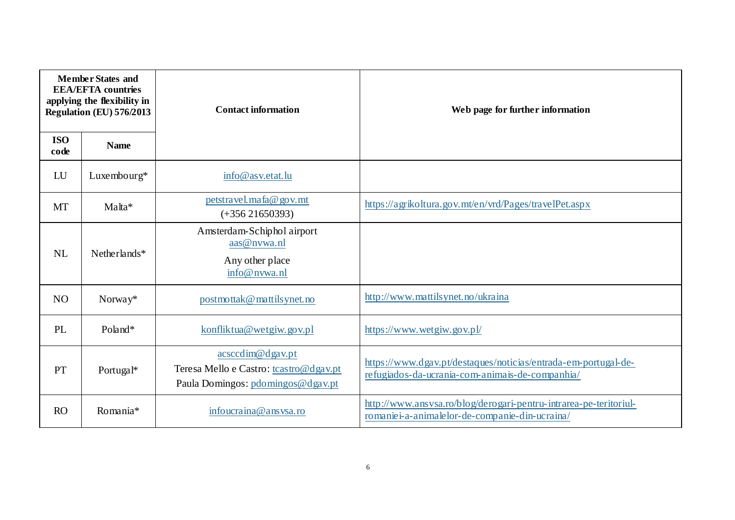| <b>Member States and</b><br><b>EEA/EFTA</b> countries<br>applying the flexibility in<br>Regulation (EU) 576/2013 |              | <b>Contact information</b>                                                                      | Web page for further information                                                                                    |
|------------------------------------------------------------------------------------------------------------------|--------------|-------------------------------------------------------------------------------------------------|---------------------------------------------------------------------------------------------------------------------|
| <b>ISO</b><br>code                                                                                               | <b>Name</b>  |                                                                                                 |                                                                                                                     |
| LU                                                                                                               | Luxembourg*  | info@asv.etat.lu                                                                                |                                                                                                                     |
| <b>MT</b>                                                                                                        | Malta*       | petstravel.mafa@gov.mt<br>$(+356\,21650393)$                                                    | https://agrikoltura.gov.mt/en/vrd/Pages/travelPet.aspx                                                              |
| <b>NL</b>                                                                                                        | Netherlands* | Amsterdam-Schiphol airport<br>aas@nvwa.nl<br>Any other place<br>info@nvwa.nl                    |                                                                                                                     |
| N <sub>O</sub>                                                                                                   | Norway*      | postmottak@mattilsynet.no                                                                       | http://www.mattilsynet.no/ukraina                                                                                   |
| PL                                                                                                               | Poland*      | konfliktua@wetgiw.gov.pl                                                                        | https://www.wetgiw.gov.pl/                                                                                          |
| PT                                                                                                               | Portugal*    | acsccdim@dgav.pt<br>Teresa Mello e Castro: tcastro@dgav.pt<br>Paula Domingos: pdomingos@dgav.pt | https://www.dgav.pt/destaques/noticias/entrada-em-portugal-de-<br>refugiados-da-ucrania-com-animais-de-companhia/   |
| RO                                                                                                               | Romania*     | infoucraina@ansysa.ro                                                                           | http://www.ansvsa.ro/blog/derogari-pentru-intrarea-pe-teritoriul-<br>romaniei-a-animalelor-de-companie-din-ucraina/ |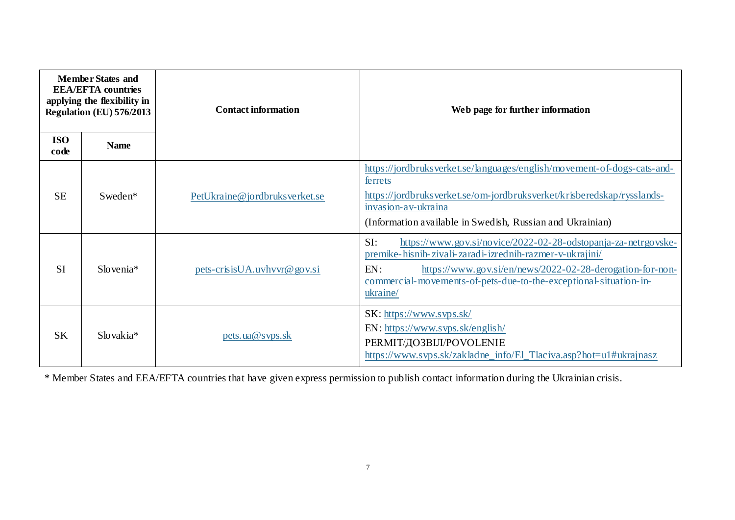| <b>Member States and</b><br><b>EEA/EFTA</b> countries<br>applying the flexibility in<br>Regulation (EU) 576/2013 |                       | <b>Contact information</b>    | Web page for further information                                                                                                                                                                                                                                                       |
|------------------------------------------------------------------------------------------------------------------|-----------------------|-------------------------------|----------------------------------------------------------------------------------------------------------------------------------------------------------------------------------------------------------------------------------------------------------------------------------------|
| <b>ISO</b><br>code                                                                                               | <b>Name</b>           |                               |                                                                                                                                                                                                                                                                                        |
| <b>SE</b>                                                                                                        | Sweden <sup>*</sup>   | PetUkraine@jordbruksverket.se | https://jordbruksverket.se/languages/english/movement-of-dogs-cats-and-<br>ferrets<br>https://jordbruksverket.se/om-jordbruksverket/krisberedskap/rysslands-<br>invasion-av-ukraina<br>(Information available in Swedish, Russian and Ukrainian)                                       |
| <b>SI</b>                                                                                                        | $Slovenia*$           | pets-crisisUA.uvhvvr@gov.si   | SI:<br>https://www.gov.si/novice/2022-02-28-odstopanja-za-netrgovske-<br>premike-hisnih-zivali-zaradi-izrednih-razmer-v-ukrajini/<br>EN:<br>https://www.gov.si/en/news/2022-02-28-derogation-for-non-<br>commercial-movements-of-pets-due-to-the-exceptional-situation-in-<br>ukraine/ |
| <b>SK</b>                                                                                                        | Slovakia <sup>*</sup> | pets.ua@svps.sk               | SK: https://www.svps.sk/<br>EN: https://www.svps.sk/english/<br>РЕRМІТ/ДОЗВІЛ/POVOLENIE<br>https://www.svps.sk/zakladne_info/El_Tlaciva.asp?hot=u1#ukrajnasz                                                                                                                           |

\* Member States and EEA/EFTA countries that have given express permission to publish contact information during the Ukrainian crisis.